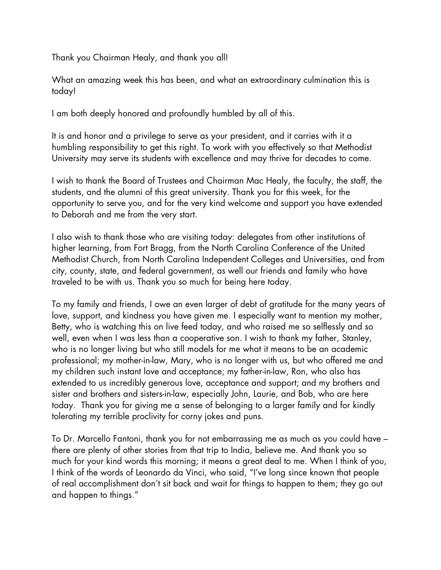Thank you Chairman Healy, and thank you all!

What an amazing week this has been, and what an extraordinary culmination this is today!

I am both deeply honored and profoundly humbled by all of this.

It is and honor and a privilege to serve as your president, and it carries with it a humbling responsibility to get this right. To work with you effectively so that Methodist University may serve its students with excellence and may thrive for decades to come.

I wish to thank the Board of Trustees and Chairman Mac Healy, the faculty, the staff, the students, and the alumni of this great university. Thank you for this week, for the opportunity to serve you, and for the very kind welcome and support you have extended to Deborah and me from the very start.

I also wish to thank those who are visiting today: delegates from other institutions of higher learning, from Fort Bragg, from the North Carolina Conference of the United Methodist Church, from North Carolina Independent Colleges and Universities, and from city, county, state, and federal government, as well our friends and family who have traveled to be with us. Thank you so much for being here today.

To my family and friends, I owe an even larger of debt of gratitude for the many years of love, support, and kindness you have given me. I especially want to mention my mother, Betty, who is watching this on live feed today, and who raised me so selflessly and so well, even when I was less than a cooperative son. I wish to thank my father, Stanley, who is no longer living but who still models for me what it means to be an academic professional; my mother-in-law, Mary, who is no longer with us, but who offered me and my children such instant love and acceptance; my father-in-law, Ron, who also has extended to us incredibly generous love, acceptance and support; and my brothers and sister and brothers and sisters-in-law, especially John, Laurie, and Bob, who are here today. Thank you for giving me a sense of belonging to a larger family and for kindly tolerating my terrible proclivity for corny jokes and puns.

To Dr. Marcello Fantoni, thank you for not embarrassing me as much as you could have – there are plenty of other stories from that trip to India, believe me. And thank you so much for your kind words this morning; it means a great deal to me. When I think of you, I think of the words of Leonardo da Vinci, who said, "I've long since known that people of real accomplishment don't sit back and wait for things to happen to them; they go out and happen to things."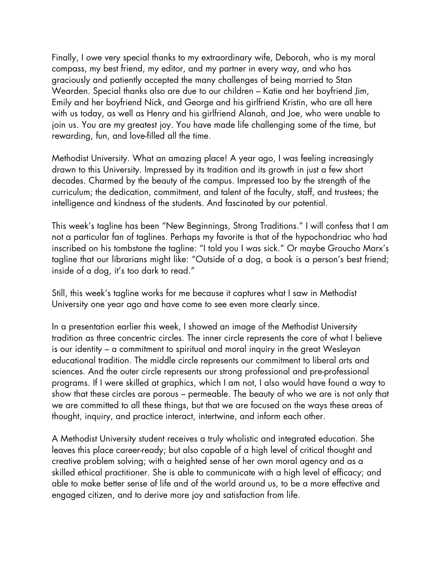Finally, I owe very special thanks to my extraordinary wife, Deborah, who is my moral compass, my best friend, my editor, and my partner in every way, and who has graciously and patiently accepted the many challenges of being married to Stan Wearden. Special thanks also are due to our children – Katie and her boyfriend Jim, Emily and her boyfriend Nick, and George and his girlfriend Kristin, who are all here with us today, as well as Henry and his girlfriend Alanah, and Joe, who were unable to join us. You are my greatest joy. You have made life challenging some of the time, but rewarding, fun, and love-filled all the time.

Methodist University. What an amazing place! A year ago, I was feeling increasingly drawn to this University. Impressed by its tradition and its growth in just a few short decades. Charmed by the beauty of the campus. Impressed too by the strength of the curriculum; the dedication, commitment, and talent of the faculty, staff, and trustees; the intelligence and kindness of the students. And fascinated by our potential.

This week's tagline has been "New Beginnings, Strong Traditions." I will confess that I am not a particular fan of taglines. Perhaps my favorite is that of the hypochondriac who had inscribed on his tombstone the tagline: "I told you I was sick." Or maybe Groucho Marx's tagline that our librarians might like: "Outside of a dog, a book is a person's best friend; inside of a dog, it's too dark to read."

Still, this week's tagline works for me because it captures what I saw in Methodist University one year ago and have come to see even more clearly since.

In a presentation earlier this week, I showed an image of the Methodist University tradition as three concentric circles. The inner circle represents the core of what I believe is our identity – a commitment to spiritual and moral inquiry in the great Wesleyan educational tradition. The middle circle represents our commitment to liberal arts and sciences. And the outer circle represents our strong professional and pre-professional programs. If I were skilled at graphics, which I am not, I also would have found a way to show that these circles are porous – permeable. The beauty of who we are is not only that we are committed to all these things, but that we are focused on the ways these areas of thought, inquiry, and practice interact, intertwine, and inform each other.

A Methodist University student receives a truly wholistic and integrated education. She leaves this place career-ready; but also capable of a high level of critical thought and creative problem solving; with a heighted sense of her own moral agency and as a skilled ethical practitioner. She is able to communicate with a high level of efficacy; and able to make better sense of life and of the world around us, to be a more effective and engaged citizen, and to derive more joy and satisfaction from life.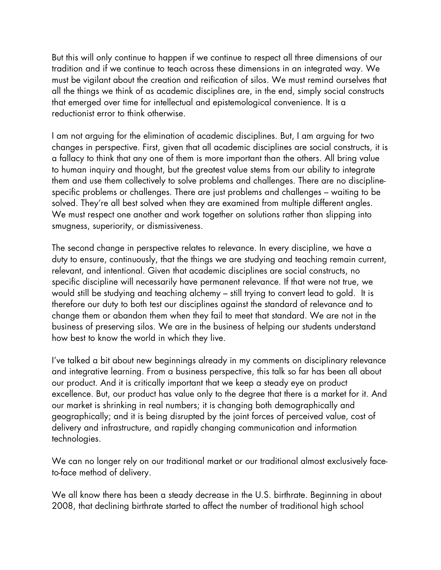But this will only continue to happen if we continue to respect all three dimensions of our tradition and if we continue to teach across these dimensions in an integrated way. We must be vigilant about the creation and reification of silos. We must remind ourselves that all the things we think of as academic disciplines are, in the end, simply social constructs that emerged over time for intellectual and epistemological convenience. It is a reductionist error to think otherwise.

I am not arguing for the elimination of academic disciplines. But, I am arguing for two changes in perspective. First, given that all academic disciplines are social constructs, it is a fallacy to think that any one of them is more important than the others. All bring value to human inquiry and thought, but the greatest value stems from our ability to integrate them and use them collectively to solve problems and challenges. There are no disciplinespecific problems or challenges. There are just problems and challenges – waiting to be solved. They're all best solved when they are examined from multiple different angles. We must respect one another and work together on solutions rather than slipping into smugness, superiority, or dismissiveness.

The second change in perspective relates to relevance. In every discipline, we have a duty to ensure, continuously, that the things we are studying and teaching remain current, relevant, and intentional. Given that academic disciplines are social constructs, no specific discipline will necessarily have permanent relevance. If that were not true, we would still be studying and teaching alchemy – still trying to convert lead to gold. It is therefore our duty to both test our disciplines against the standard of relevance and to change them or abandon them when they fail to meet that standard. We are not in the business of preserving silos. We are in the business of helping our students understand how best to know the world in which they live.

I've talked a bit about new beginnings already in my comments on disciplinary relevance and integrative learning. From a business perspective, this talk so far has been all about our product. And it is critically important that we keep a steady eye on product excellence. But, our product has value only to the degree that there is a market for it. And our market is shrinking in real numbers; it is changing both demographically and geographically; and it is being disrupted by the joint forces of perceived value, cost of delivery and infrastructure, and rapidly changing communication and information technologies.

We can no longer rely on our traditional market or our traditional almost exclusively faceto-face method of delivery.

We all know there has been a steady decrease in the U.S. birthrate. Beginning in about 2008, that declining birthrate started to affect the number of traditional high school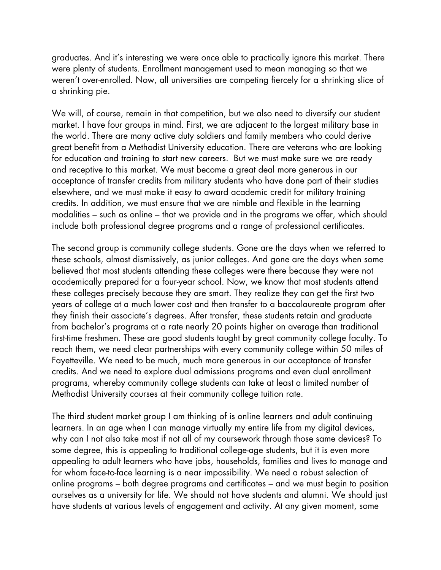graduates. And it's interesting we were once able to practically ignore this market. There were plenty of students. Enrollment management used to mean managing so that we weren't over-enrolled. Now, all universities are competing fiercely for a shrinking slice of a shrinking pie.

We will, of course, remain in that competition, but we also need to diversify our student market. I have four groups in mind. First, we are adjacent to the largest military base in the world. There are many active duty soldiers and family members who could derive great benefit from a Methodist University education. There are veterans who are looking for education and training to start new careers. But we must make sure we are ready and receptive to this market. We must become a great deal more generous in our acceptance of transfer credits from military students who have done part of their studies elsewhere, and we must make it easy to award academic credit for military training credits. In addition, we must ensure that we are nimble and flexible in the learning modalities – such as online – that we provide and in the programs we offer, which should include both professional degree programs and a range of professional certificates.

The second group is community college students. Gone are the days when we referred to these schools, almost dismissively, as junior colleges. And gone are the days when some believed that most students attending these colleges were there because they were not academically prepared for a four-year school. Now, we know that most students attend these colleges precisely because they are smart. They realize they can get the first two years of college at a much lower cost and then transfer to a baccalaureate program after they finish their associate's degrees. After transfer, these students retain and graduate from bachelor's programs at a rate nearly 20 points higher on average than traditional first-time freshmen. These are good students taught by great community college faculty. To reach them, we need clear partnerships with every community college within 50 miles of Fayetteville. We need to be much, much more generous in our acceptance of transfer credits. And we need to explore dual admissions programs and even dual enrollment programs, whereby community college students can take at least a limited number of Methodist University courses at their community college tuition rate.

The third student market group I am thinking of is online learners and adult continuing learners. In an age when I can manage virtually my entire life from my digital devices, why can I not also take most if not all of my coursework through those same devices? To some degree, this is appealing to traditional college-age students, but it is even more appealing to adult learners who have jobs, households, families and lives to manage and for whom face-to-face learning is a near impossibility. We need a robust selection of online programs – both degree programs and certificates – and we must begin to position ourselves as a university for life. We should not have students and alumni. We should just have students at various levels of engagement and activity. At any given moment, some